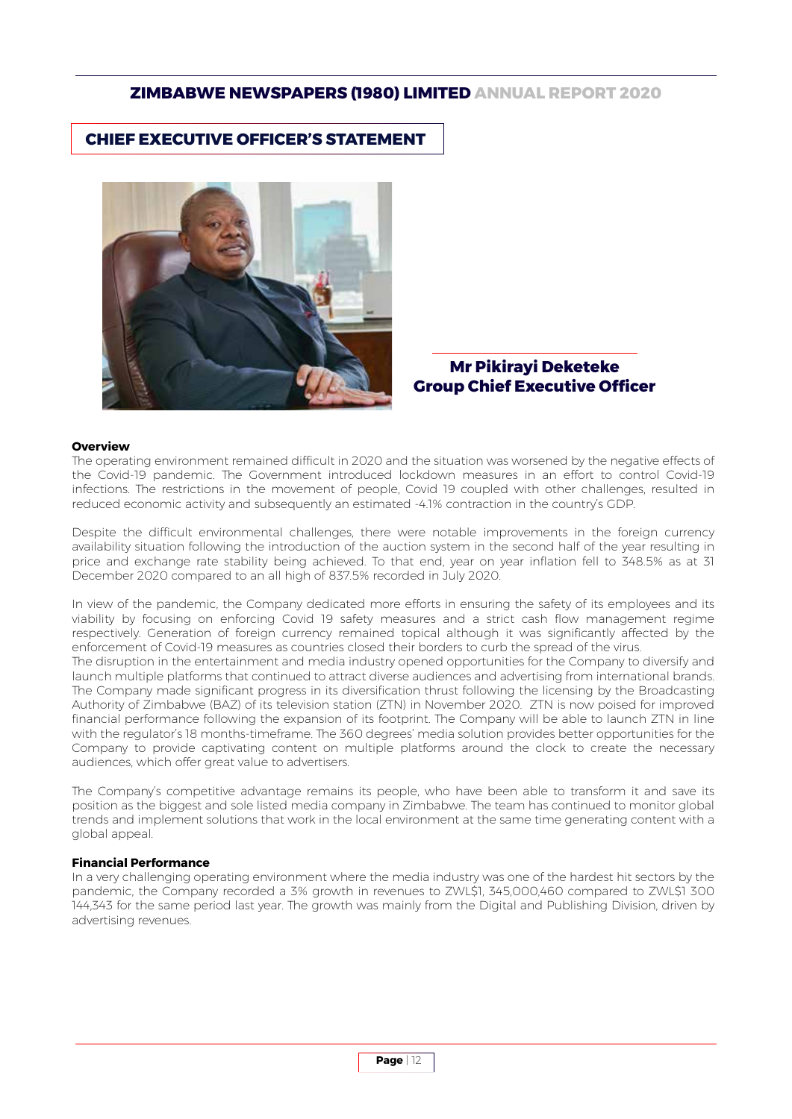### **CHIEF EXECUTIVE OFFICER'S STATEMENT**



### **Mr Pikirayi Deketeke Group Chief Executive Officer**

#### **Overview**

The operating environment remained difficult in 2020 and the situation was worsened by the negative effects of the Covid-19 pandemic. The Government introduced lockdown measures in an effort to control Covid-19 infections. The restrictions in the movement of people, Covid 19 coupled with other challenges, resulted in reduced economic activity and subsequently an estimated -4.1% contraction in the country's GDP.

Despite the difficult environmental challenges, there were notable improvements in the foreign currency availability situation following the introduction of the auction system in the second half of the year resulting in price and exchange rate stability being achieved. To that end, year on year inflation fell to 348.5% as at 31 December 2020 compared to an all high of 837.5% recorded in July 2020.

In view of the pandemic, the Company dedicated more efforts in ensuring the safety of its employees and its viability by focusing on enforcing Covid 19 safety measures and a strict cash flow management regime respectively. Generation of foreign currency remained topical although it was significantly affected by the enforcement of Covid-19 measures as countries closed their borders to curb the spread of the virus.

The disruption in the entertainment and media industry opened opportunities for the Company to diversify and launch multiple platforms that continued to attract diverse audiences and advertising from international brands. The Company made significant progress in its diversification thrust following the licensing by the Broadcasting Authority of Zimbabwe (BAZ) of its television station (ZTN) in November 2020. ZTN is now poised for improved financial performance following the expansion of its footprint. The Company will be able to launch ZTN in line with the regulator's 18 months-timeframe. The 360 degrees' media solution provides better opportunities for the Company to provide captivating content on multiple platforms around the clock to create the necessary audiences, which offer great value to advertisers.

The Company's competitive advantage remains its people, who have been able to transform it and save its position as the biggest and sole listed media company in Zimbabwe. The team has continued to monitor global trends and implement solutions that work in the local environment at the same time generating content with a global appeal.

#### **Financial Performance**

In a very challenging operating environment where the media industry was one of the hardest hit sectors by the pandemic, the Company recorded a 3% growth in revenues to ZWL\$1, 345,000,460 compared to ZWL\$1 300 144,343 for the same period last year. The growth was mainly from the Digital and Publishing Division, driven by advertising revenues.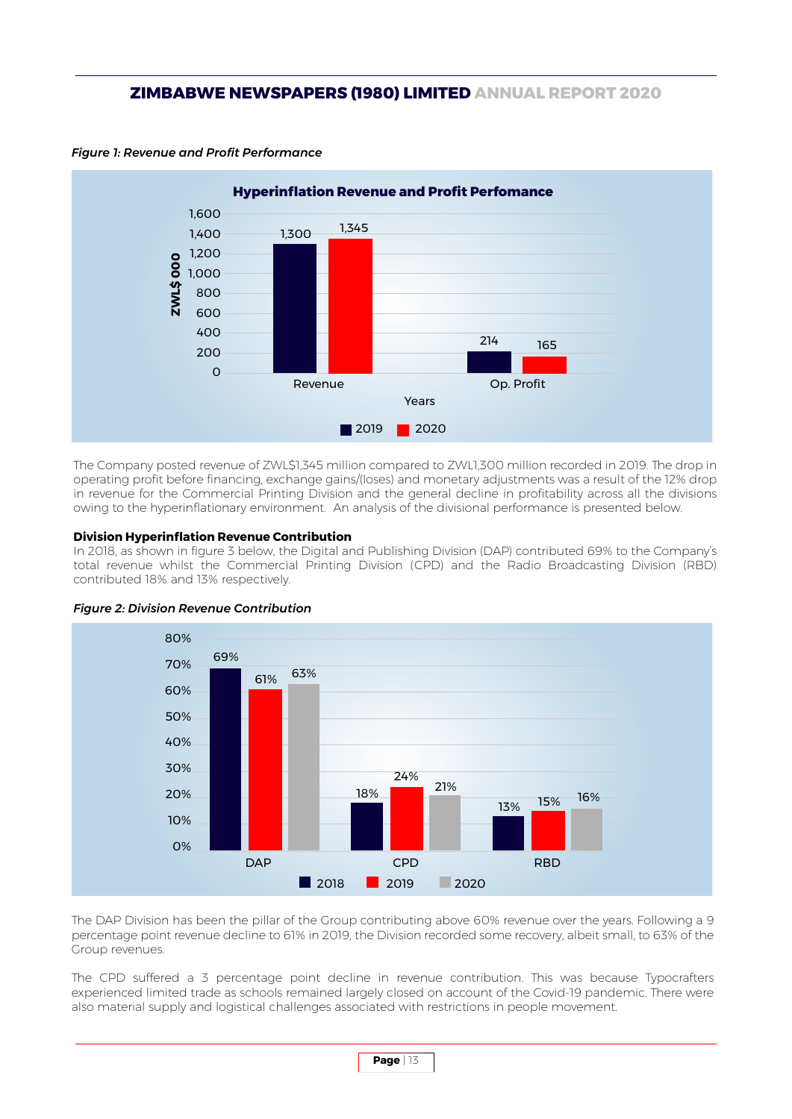

*Figure 1: Revenue and Profit Performance* 

The Company posted revenue of ZWL\$1,345 million compared to ZWL1,300 million recorded in 2019. The drop in operating profit before financing, exchange gains/(loses) and monetary adjustments was a result of the 12% drop in revenue for the Commercial Printing Division and the general decline in profitability across all the divisions owing to the hyperinflationary environment. An analysis of the divisional performance is presented below.

#### **Division Hyperinflation Revenue Contribution**

In 2018, as shown in figure 3 below, the Digital and Publishing Division (DAP) contributed 69% to the Company's total revenue whilst the Commercial Printing Division (CPD) and the Radio Broadcasting Division (RBD) contributed 18% and 13% respectively.



#### *Figure 2: Division Revenue Contribution*

The DAP Division has been the pillar of the Group contributing above 60% revenue over the years. Following a 9 percentage point revenue decline to 61% in 2019, the Division recorded some recovery, albeit small, to 63% of the Group revenues.

The CPD suffered a 3 percentage point decline in revenue contribution. This was because Typocrafters experienced limited trade as schools remained largely closed on account of the Covid-19 pandemic. There were also material supply and logistical challenges associated with restrictions in people movement.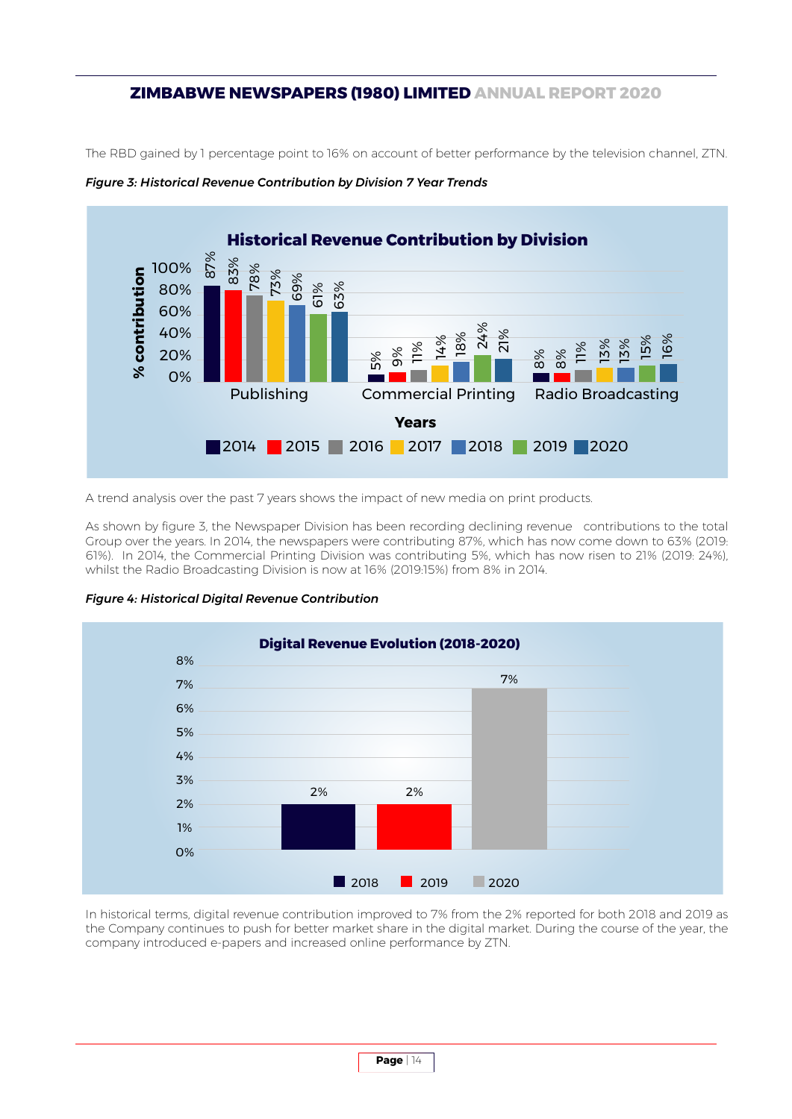The RBD gained by 1 percentage point to 16% on account of better performance by the television channel, ZTN.





A trend analysis over the past 7 years shows the impact of new media on print products.

As shown by figure 3, the Newspaper Division has been recording declining revenue contributions to the total Group over the years. In 2014, the newspapers were contributing 87%, which has now come down to 63% (2019: 61%). In 2014, the Commercial Printing Division was contributing 5%, which has now risen to 21% (2019: 24%), whilst the Radio Broadcasting Division is now at 16% (2019:15%) from 8% in 2014.





In historical terms, digital revenue contribution improved to 7% from the 2% reported for both 2018 and 2019 as the Company continues to push for better market share in the digital market. During the course of the year, the company introduced e-papers and increased online performance by ZTN.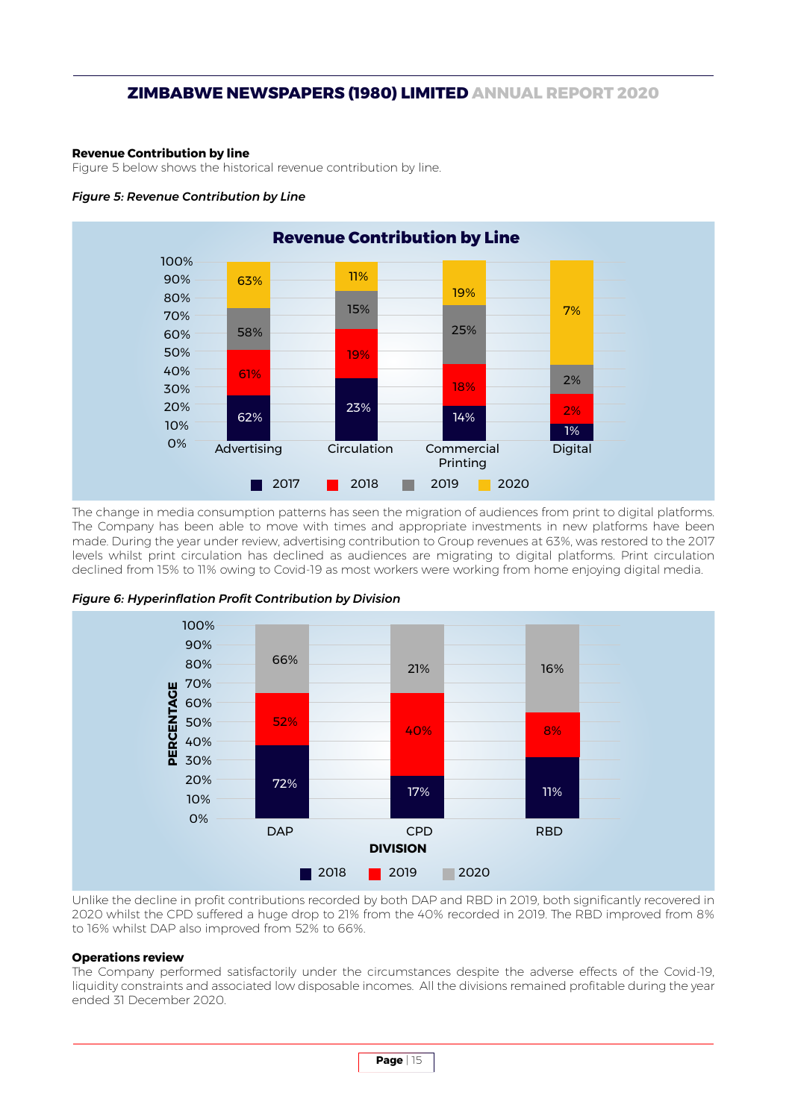#### **Revenue Contribution by line**

Figure 5 below shows the historical revenue contribution by line.

#### *Figure 5: Revenue Contribution by Line*



The change in media consumption patterns has seen the migration of audiences from print to digital platforms. The Company has been able to move with times and appropriate investments in new platforms have been made. During the year under review, advertising contribution to Group revenues at 63%, was restored to the 2017 levels whilst print circulation has declined as audiences are migrating to digital platforms. Print circulation declined from 15% to 11% owing to Covid-19 as most workers were working from home enjoying digital media.



*Figure 6: Hyperinflation Profit Contribution by Division*

Unlike the decline in profit contributions recorded by both DAP and RBD in 2019, both significantly recovered in 2020 whilst the CPD suffered a huge drop to 21% from the 40% recorded in 2019. The RBD improved from 8% to 16% whilst DAP also improved from 52% to 66%.

#### **Operations review**

The Company performed satisfactorily under the circumstances despite the adverse effects of the Covid-19, liquidity constraints and associated low disposable incomes. All the divisions remained profitable during the year ended 31 December 2020.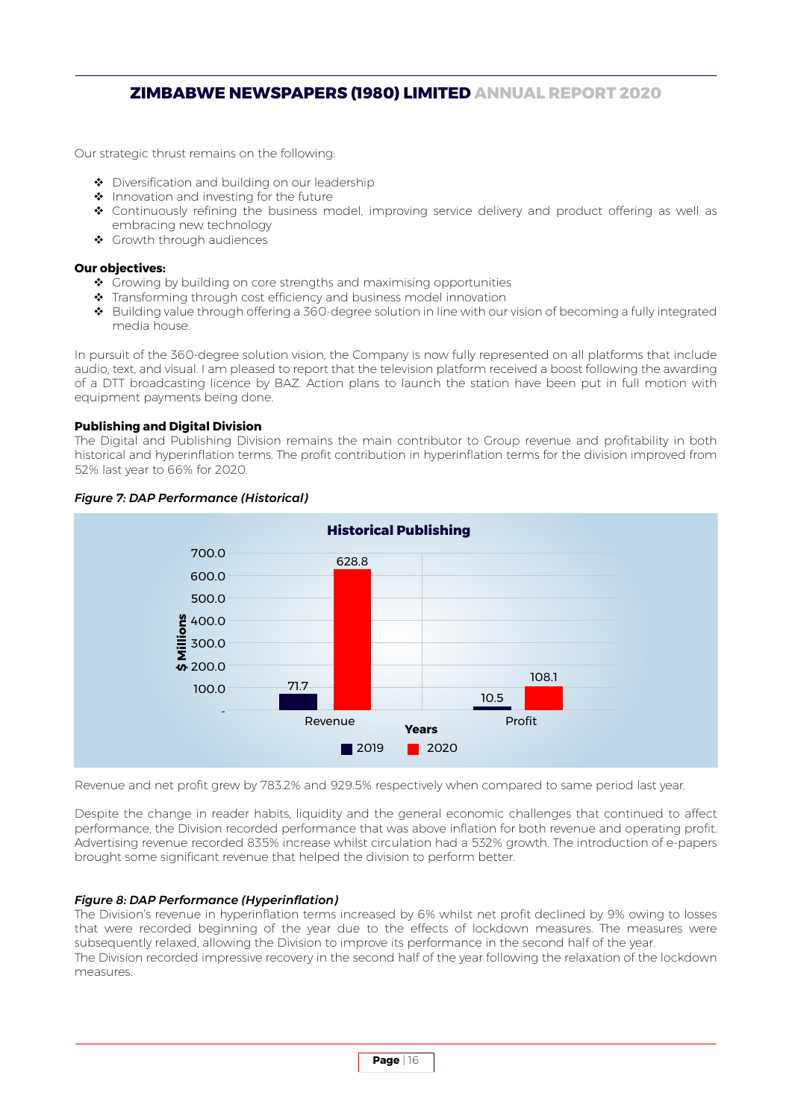Our strategic thrust remains on the following:

- ◆ Diversification and building on our leadership
- $\triangle$  Innovation and investing for the future
- Continuously refining the business model, improving service delivery and product offering as well as embracing new technology
- Growth through audiences

#### **Our objectives:**

- Growing by building on core strengths and maximising opportunities
- ◆ Transforming through cost efficiency and business model innovation
- Building value through offering a 360-degree solution in line with our vision of becoming a fully integrated media house.

In pursuit of the 360-degree solution vision, the Company is now fully represented on all platforms that include audio, text, and visual. I am pleased to report that the television platform received a boost following the awarding of a DTT broadcasting licence by BAZ. Action plans to launch the station have been put in full motion with equipment payments being done.

#### **Publishing and Digital Division**

The Digital and Publishing Division remains the main contributor to Group revenue and profitability in both historical and hyperinflation terms. The profit contribution in hyperinflation terms for the division improved from 52% last year to 66% for 2020.



### *Figure 7: DAP Performance (Historical)*

Revenue and net profit grew by 783.2% and 929.5% respectively when compared to same period last year.

Despite the change in reader habits, liquidity and the general economic challenges that continued to affect performance, the Division recorded performance that was above inflation for both revenue and operating profit. Advertising revenue recorded 835% increase whilst circulation had a 532% growth. The introduction of e-papers brought some significant revenue that helped the division to perform better.

#### *Figure 8: DAP Performance (Hyperinflation)*

The Division's revenue in hyperinflation terms increased by 6% whilst net profit declined by 9% owing to losses that were recorded beginning of the year due to the effects of lockdown measures. The measures were subsequently relaxed, allowing the Division to improve its performance in the second half of the year. The Division recorded impressive recovery in the second half of the year following the relaxation of the lockdown measures.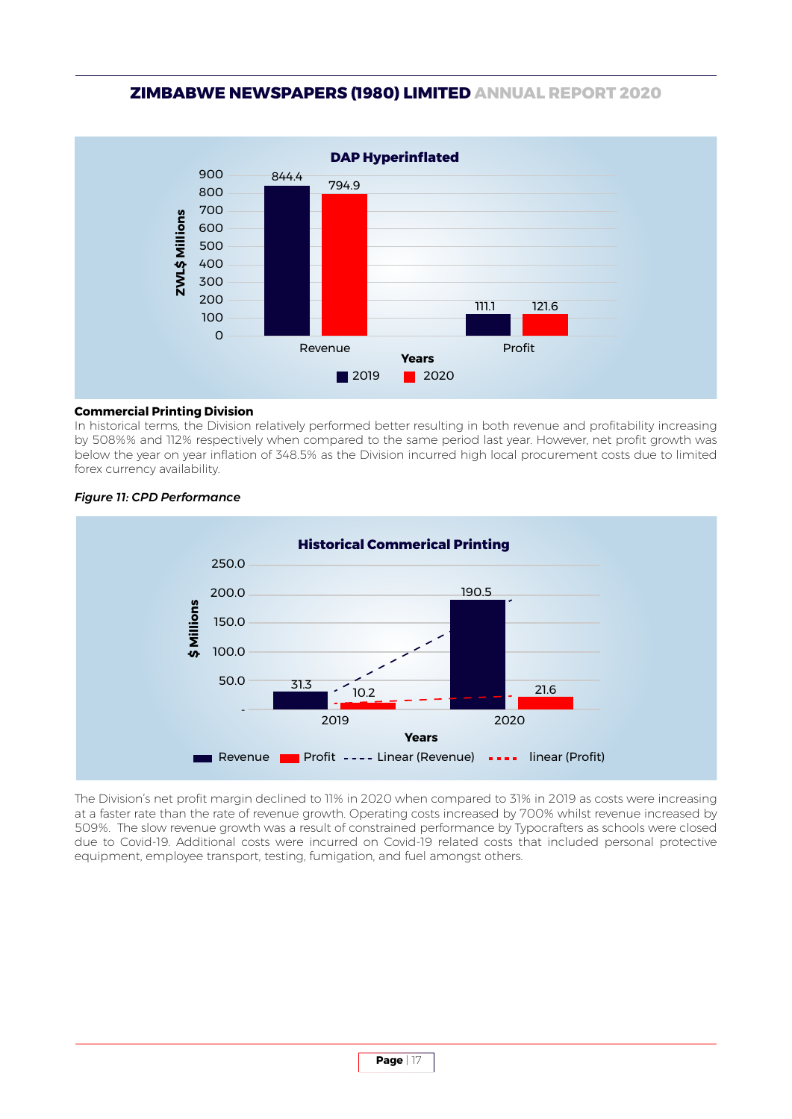

#### **Commercial Printing Division**

In historical terms, the Division relatively performed better resulting in both revenue and profitability increasing by 508%% and 112% respectively when compared to the same period last year. However, net profit growth was below the year on year inflation of 348.5% as the Division incurred high local procurement costs due to limited forex currency availability.



#### *Figure 11: CPD Performance*

The Division's net profit margin declined to 11% in 2020 when compared to 31% in 2019 as costs were increasing at a faster rate than the rate of revenue growth. Operating costs increased by 700% whilst revenue increased by 509%. The slow revenue growth was a result of constrained performance by Typocrafters as schools were closed due to Covid-19. Additional costs were incurred on Covid-19 related costs that included personal protective equipment, employee transport, testing, fumigation, and fuel amongst others.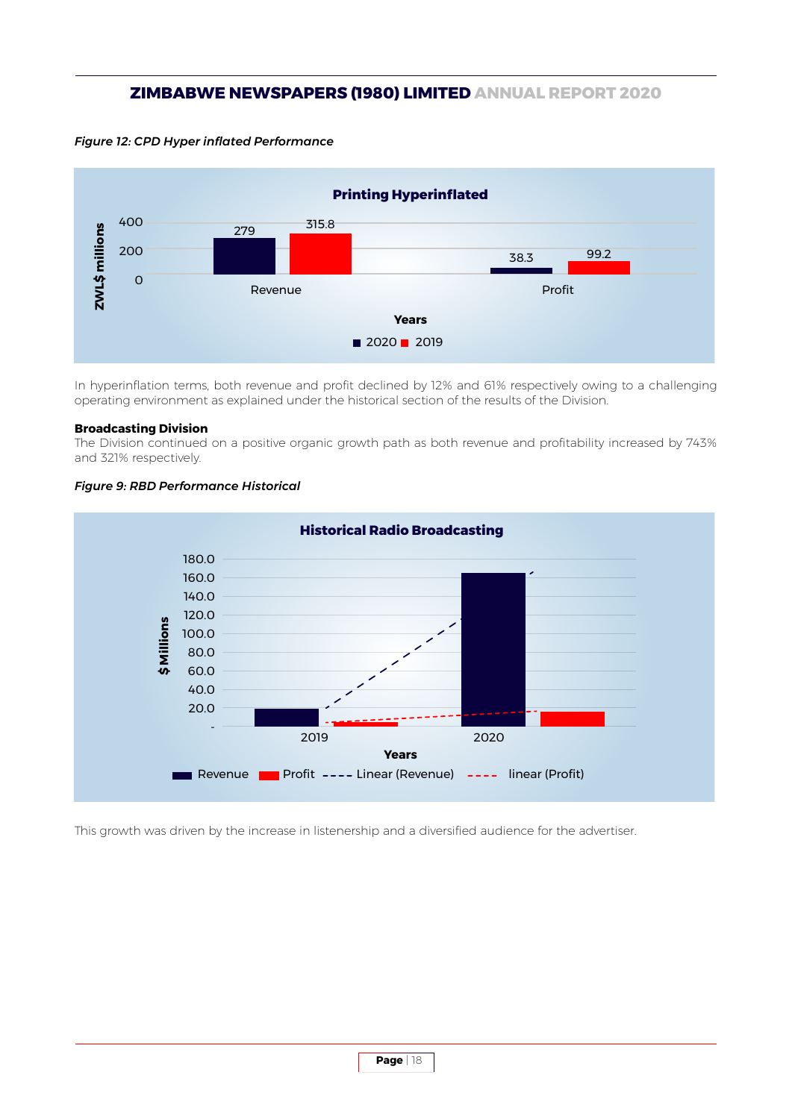*Figure 12: CPD Hyper inflated Performance*



In hyperinflation terms, both revenue and profit declined by 12% and 61% respectively owing to a challenging operating environment as explained under the historical section of the results of the Division.

#### **Broadcasting Division**

The Division continued on a positive organic growth path as both revenue and profitability increased by 743% and 321% respectively.



#### *Figure 9: RBD Performance Historical*

This growth was driven by the increase in listenership and a diversified audience for the advertiser.